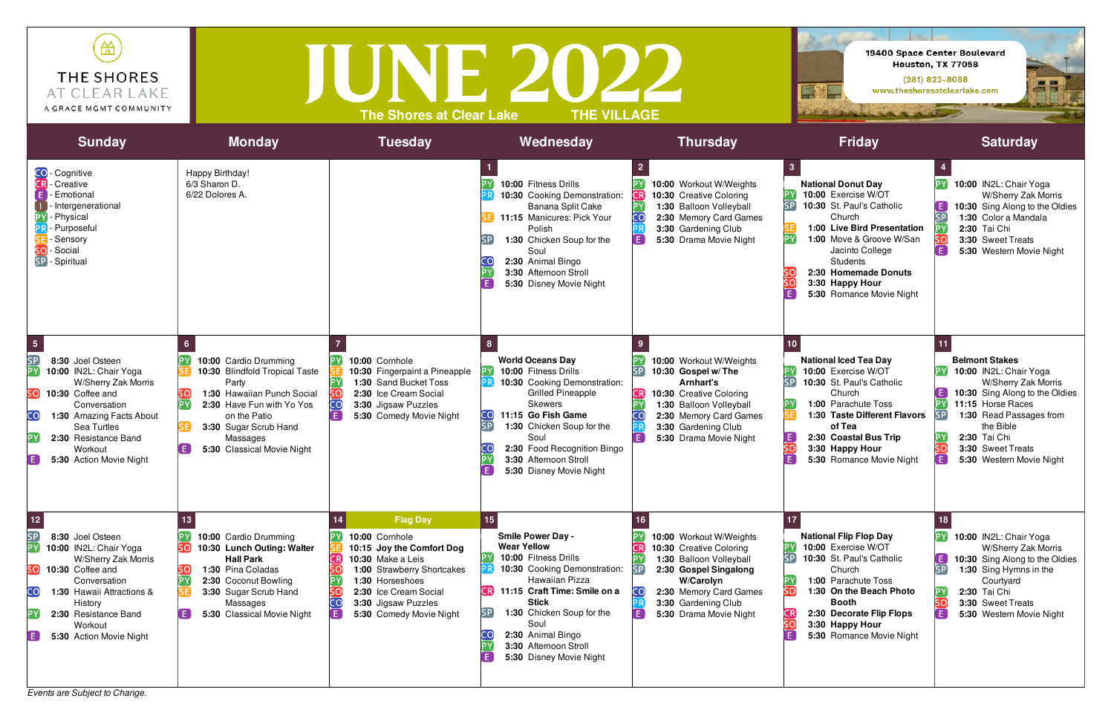*Events are Subject to Change.*



| 笽<br>THE SHORES<br>AT CLEAR LAKE<br>A GRACE MGMT COMMUNITY                                                                                                                                                                                                                               |                                                                                                                                                                                                                                               | <b>The Shores at Clear Lake</b>                                                                                                                                                                                                        | 19400 Space Center Boulevard<br>Houston, TX 77058<br>$(281)$ 823-8088<br>EXE<br>www.theshoresatclearlake.com<br><b>Sales Sollie Branch</b>                                                                                                                                                                                  |                                                                                                                                                                                                                     |                                                                                                                                                                                                                                                                              |                                                                                                                                                                                                                                                               |
|------------------------------------------------------------------------------------------------------------------------------------------------------------------------------------------------------------------------------------------------------------------------------------------|-----------------------------------------------------------------------------------------------------------------------------------------------------------------------------------------------------------------------------------------------|----------------------------------------------------------------------------------------------------------------------------------------------------------------------------------------------------------------------------------------|-----------------------------------------------------------------------------------------------------------------------------------------------------------------------------------------------------------------------------------------------------------------------------------------------------------------------------|---------------------------------------------------------------------------------------------------------------------------------------------------------------------------------------------------------------------|------------------------------------------------------------------------------------------------------------------------------------------------------------------------------------------------------------------------------------------------------------------------------|---------------------------------------------------------------------------------------------------------------------------------------------------------------------------------------------------------------------------------------------------------------|
| <b>Sunday</b>                                                                                                                                                                                                                                                                            | <b>Monday</b>                                                                                                                                                                                                                                 | <b>Tuesday</b>                                                                                                                                                                                                                         | Wednesday                                                                                                                                                                                                                                                                                                                   | <b>Thursday</b>                                                                                                                                                                                                     | <b>Friday</b>                                                                                                                                                                                                                                                                | <b>Saturday</b>                                                                                                                                                                                                                                               |
| CO-Cognitive<br><b>CR</b> - Creative<br>- Emotional<br>- Intergenerational<br>PY - Physical<br><b>PR</b> - Purposeful<br>- Sensory<br>- Social<br>SO<br>SP - Spiritual                                                                                                                   | Happy Birthday!<br>6/3 Sharon D.<br>6/22 Dolores A.                                                                                                                                                                                           |                                                                                                                                                                                                                                        | [PY]<br>10:00 Fitness Drills<br>10:30 Cooking Demonstration:<br>Banana Split Cake<br>11:15 Manicures: Pick Your<br>Polish<br>1:30 Chicken Soup for the<br>SP<br>Soul<br>2:30 Animal Bingo<br>CС<br>PΥ<br>3:30 Afternoon Stroll<br>E.<br>5:30 Disney Movie Night                                                             | 10:00 Workout W/Weights<br>10:30 Creative Coloring<br>1:30 Balloon Volleyball<br>2:30 Memory Card Games<br>3:30 Gardening Club<br>5:30 Drama Movie Night                                                            | <b>National Donut Day</b><br>10:00 Exercise W/OT<br><b>SP</b><br>10:30 St. Paul's Catholic<br>Church<br>1:00 Live Bird Presentation<br>1:00 Move & Groove W/San<br>Jacinto College<br><b>Students</b><br>2:30 Homemade Donuts<br>3:30 Happy Hour<br>5:30 Romance Movie Night | 10:00 IN2L: Chair Yoga<br>W/Sherry Zak Morris<br>E.<br>10:30 Sing Along to the Oldies<br>SP<br>1:30 Color a Mandala<br>2:30 Tai Chi<br>SO<br>3:30 Sweet Treats<br>Ē<br>5:30 Western Movie Night                                                               |
| $\sqrt{5}$<br><b>SP</b><br>8:30 Joel Osteen<br>PΥ<br>10:00 IN2L: Chair Yoga<br>W/Sherry Zak Morris<br>SO<br>10:30 Coffee and<br>Conversation<br>CO.<br>1:30 Amazing Facts About<br>Sea Turtles<br>2:30 Resistance Band<br>Workout<br>E<br>5:30 Action Movie Night                        | 10:00 Cardio Drumming<br>10:30 Blindfold Tropical Taste<br>Party<br>1:30 Hawaiian Punch Social<br>2:30 Have Fun with Yo Yos<br><b>PY</b><br>on the Patio<br>3:30 Sugar Scrub Hand<br>Massages<br>$\blacksquare$<br>5:30 Classical Movie Night | 10:00 Cornhole<br>10:30 Fingerpaint a Pineapple<br>1:30 Sand Bucket Toss<br>2:30 Ice Cream Social<br>CO<br>3:30 Jigsaw Puzzles<br>5:30 Comedy Movie Night                                                                              | 8<br><b>World Oceans Day</b><br>10:00 Fitness Drills<br>10:30 Cooking Demonstration:<br><b>Grilled Pineapple</b><br><b>Skewers</b><br>CO<br>11:15 Go Fish Game<br>[SP]<br>1:30 Chicken Soup for the<br>Soul<br>2:30 Food Recognition Bingo<br>PΥ<br>3:30 Afternoon Stroll<br>E.<br>5:30 Disney Movie Night                  | 10:00 Workout W/Weights<br>$[{\sf SP}]$<br>10:30 Gospel w/The<br>Arnhart's<br>10:30 Creative Coloring<br>1:30 Balloon Volleyball<br>2:30 Memory Card Games<br>3:30 Gardening Club<br>5:30 Drama Movie Night         | 10<br><b>National Iced Tea Day</b><br>10:00 Exercise W/OT<br>10:30 St. Paul's Catholic<br>Church<br>1:00 Parachute Toss<br>1:30 Taste Different Flavors<br>of Tea<br>2:30 Coastal Bus Trip<br>3:30 Happy Hour<br>5:30 Romance Movie Night                                    | 11<br><b>Belmont Stakes</b><br>10:00 IN2L: Chair Yoga<br>W/Sherry Zak Morris<br>10:30 Sing Along to the Oldies<br>ΈΥ<br>11:15 Horse Races<br>1:30 Read Passages from<br>the Bible<br>2:30 Tai Chi<br>ŚΟ<br>3:30 Sweet Treats<br>E<br>5:30 Western Movie Night |
| $12$<br>SP<br>8:30 Joel Osteen<br>10:00 IN2L: Chair Yoga<br>W/Sherry Zak Morris<br>SO<br>10:30 Coffee and<br>Conversation<br>CO<br>1:30 Hawaii Attractions &<br>History<br>2:30 Resistance Band<br>Workout<br>$\left( \begin{array}{c} 1 \end{array} \right)$<br>5:30 Action Movie Night | 10:00 Cardio Drumming<br>10:30 Lunch Outing: Walter<br><b>Hall Park</b><br>1:30 Pina Coladas<br>2:30 Coconut Bowling<br>3:30 Sugar Scrub Hand<br>Massages<br>5:30 Classical Movie Night                                                       | <b>Flag Day</b><br>10:00 Cornhole<br>10:15 Joy the Comfort Dog<br>10:30 Make a Leis<br><b>CRI</b><br>1:00 Strawberry Shortcakes<br>1:30 Horseshoes<br>2:30 Ice Cream Social<br>3:30 Jigsaw Puzzles<br>l F i<br>5:30 Comedy Movie Night | 15<br><b>Smile Power Day -</b><br><b>Wear Yellow</b><br> PY <br>10:00 Fitness Drills<br>10:30 Cooking Demonstration:<br>Hawaiian Pizza<br><b>CR</b> 11:15 Craft Time: Smile on a<br><b>Stick</b><br>1:30 Chicken Soup for the<br>SP.<br>Soul<br>2:30 Animal Bingo<br>3:30 Afternoon Stroll<br>E.<br>5:30 Disney Movie Night | 10:00 Workout W/Weights<br>10:30 Creative Coloring<br>1:30 Balloon Volleyball<br>[SP]<br>2:30 Gospel Singalong<br><b>W/Carolyn</b><br>CO<br>2:30 Memory Card Games<br>3:30 Gardening Club<br>5:30 Drama Movie Night | <b>National Flip Flop Day</b><br>10:00 Exercise W/OT<br><b>SP</b><br>10:30 St. Paul's Catholic<br>Church<br>1:00 Parachute Toss<br>1:30 On the Beach Photo<br><b>Booth</b><br>2:30 Decorate Flip Flops<br>3:30 Happy Hour<br>5:30 Romance Movie Night                        | [PY]<br>10:00 IN2L: Chair Yoga<br>W/Sherry Zak Morris<br>$\mathbf{E}$<br>10:30 Sing Along to the Oldies<br>SP<br>1:30 Sing Hymns in the<br>Courtyard<br>2:30 Tai Chi<br>SO<br>3:30 Sweet Treats<br>A<br>5:30 Western Movie Night                              |